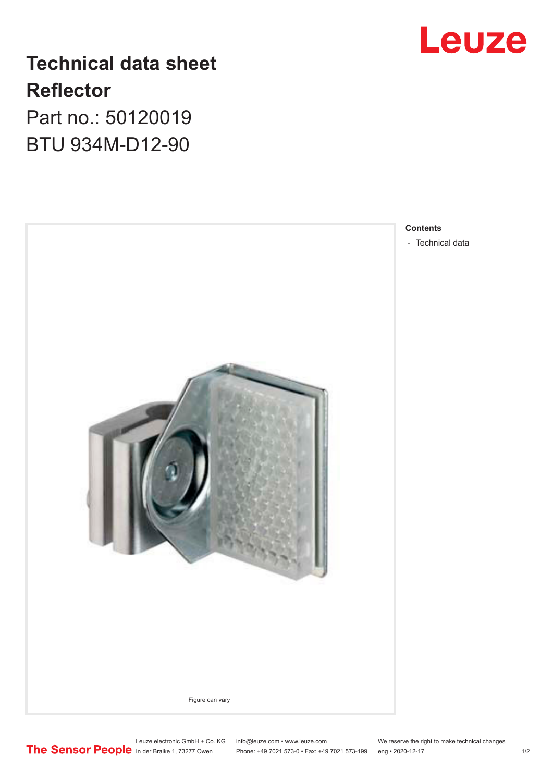## **Technical data sheet Reflector** Part no.: 50120019

BTU 934M-D12-90





- [Technical data](#page-1-0)

Leuze electronic GmbH + Co. KG info@leuze.com • www.leuze.com We reserve the right to make technical changes